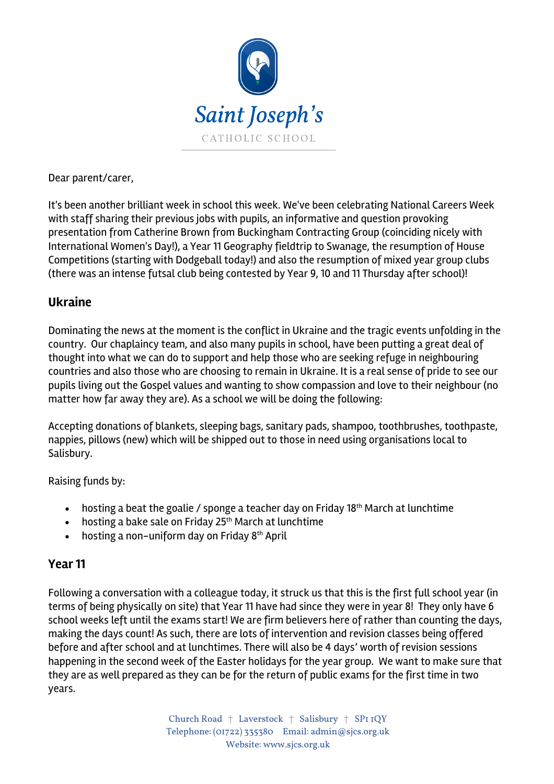

Dear parent/carer,

It's been another brilliant week in school this week. We've been celebrating National Careers Week with staff sharing their previous jobs with pupils, an informative and question provoking presentation from Catherine Brown from Buckingham Contracting Group (coinciding nicely with International Women's Day!), a Year 11 Geography fieldtrip to Swanage, the resumption of House Competitions (starting with Dodgeball today!) and also the resumption of mixed year group clubs (there was an intense futsal club being contested by Year 9, 10 and 11 Thursday after school)!

#### **Ukraine**

Dominating the news at the moment is the conflict in Ukraine and the tragic events unfolding in the country. Our chaplaincy team, and also many pupils in school, have been putting a great deal of thought into what we can do to support and help those who are seeking refuge in neighbouring countries and also those who are choosing to remain in Ukraine. It is a real sense of pride to see our pupils living out the Gospel values and wanting to show compassion and love to their neighbour (no matter how far away they are). As a school we will be doing the following:

Accepting donations of blankets, sleeping bags, sanitary pads, shampoo, toothbrushes, toothpaste, nappies, pillows (new) which will be shipped out to those in need using organisations local to Salisbury.

Raising funds by:

- hosting a beat the goalie / sponge a teacher day on Friday 18<sup>th</sup> March at lunchtime
- hosting a bake sale on Friday 25<sup>th</sup> March at lunchtime
- $\bullet$  hosting a non-uniform day on Friday 8<sup>th</sup> April

## **Year 11**

Following a conversation with a colleague today, it struck us that this is the first full school year (in terms of being physically on site) that Year 11 have had since they were in year 8! They only have 6 school weeks left until the exams start! We are firm believers here of rather than counting the days, making the days count! As such, there are lots of intervention and revision classes being offered before and after school and at lunchtimes. There will also be 4 days' worth of revision sessions happening in the second week of the Easter holidays for the year group. We want to make sure that they are as well prepared as they can be for the return of public exams for the first time in two years.

> Church Road † Laverstock † Salisbury † SP1 1QY Telephone: (01722) 335380 Email: admin@sjcs.org.uk Website: www.sjcs.org.uk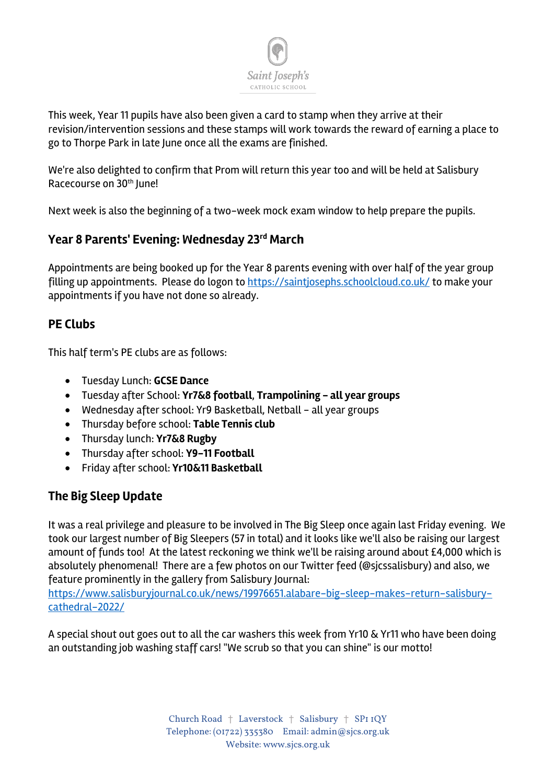

This week, Year 11 pupils have also been given a card to stamp when they arrive at their revision/intervention sessions and these stamps will work towards the reward of earning a place to go to Thorpe Park in late June once all the exams are finished.

We're also delighted to confirm that Prom will return this year too and will be held at Salisbury Racecourse on 30<sup>th</sup> June!

Next week is also the beginning of a two-week mock exam window to help prepare the pupils.

# **Year 8 Parents' Evening: Wednesday 23rd March**

Appointments are being booked up for the Year 8 parents evening with over half of the year group filling up appointments. Please do logon to https://saintjosephs.schoolcloud.co.uk/ to make your appointments if you have not done so already.

## **PE Clubs**

This half term's PE clubs are as follows:

- Tuesday Lunch: **GCSE Dance**
- Tuesday after School: **Yr7&8 football**, **Trampolining - all year groups**
- Wednesday after school: Yr9 Basketball, Netball all year groups
- Thursday before school: **Table Tennis club**
- Thursday lunch: **Yr7&8 Rugby**
- Thursday after school: **Y9-11 Football**
- Friday after school: **Yr10&11 Basketball**

## **The Big Sleep Update**

It was a real privilege and pleasure to be involved in The Big Sleep once again last Friday evening. We took our largest number of Big Sleepers (57 in total) and it looks like we'll also be raising our largest amount of funds too! At the latest reckoning we think we'll be raising around about £4,000 which is absolutely phenomenal! There are a few photos on our Twitter feed (@sjcssalisbury) and also, we feature prominently in the gallery from Salisbury Journal:

https://www.salisburyjournal.co.uk/news/19976651.alabare-big-sleep-makes-return-salisburycathedral-2022/

A special shout out goes out to all the car washers this week from Yr10 & Yr11 who have been doing an outstanding job washing staff cars! "We scrub so that you can shine" is our motto!